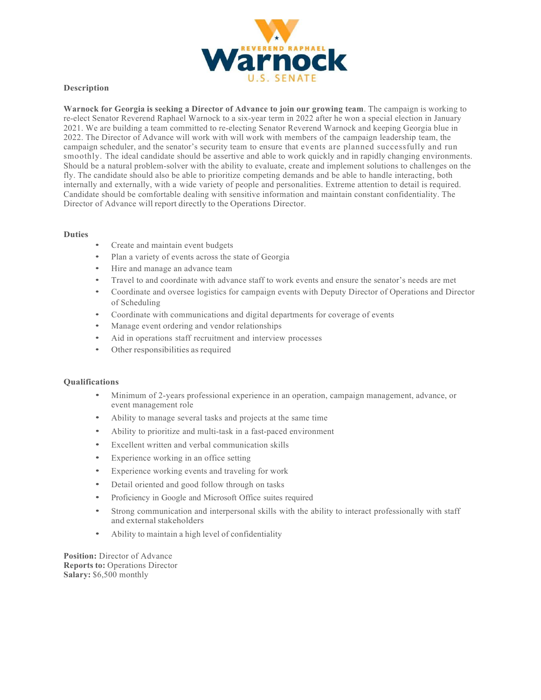

## **Description**

**Warnock for Georgia is seeking a Director of Advance to join our growing team**. The campaign is working to re-elect Senator Reverend Raphael Warnock to a six-year term in 2022 after he won a special election in January 2021. We are building a team committed to re-electing Senator Reverend Warnock and keeping Georgia blue in 2022. The Director of Advance will work with will work with members of the campaign leadership team, the campaign scheduler, and the senator's security team to ensure that events are planned successfully and run smoothly. The ideal candidate should be assertive and able to work quickly and in rapidly changing environments. Should be a natural problem-solver with the ability to evaluate, create and implement solutions to challenges on the fly. The candidate should also be able to prioritize competing demands and be able to handle interacting, both internally and externally, with a wide variety of people and personalities. Extreme attention to detail is required. Candidate should be comfortable dealing with sensitive information and maintain constant confidentiality. The Director of Advance will report directly to the Operations Director.

## **Duties**

- Create and maintain event budgets
- Plan a variety of events across the state of Georgia
- Hire and manage an advance team
- Travel to and coordinate with advance staff to work events and ensure the senator's needs are met
- Coordinate and oversee logistics for campaign events with Deputy Director of Operations and Director of Scheduling
- Coordinate with communications and digital departments for coverage of events
- Manage event ordering and vendor relationships
- Aid in operations staff recruitment and interview processes
- Other responsibilities as required

## **Qualifications**

- Minimum of 2-years professional experience in an operation, campaign management, advance, or event management role
- Ability to manage several tasks and projects at the same time
- Ability to prioritize and multi-task in a fast-paced environment
- Excellent written and verbal communication skills
- Experience working in an office setting
- Experience working events and traveling for work
- Detail oriented and good follow through on tasks
- Proficiency in Google and Microsoft Office suites required
- Strong communication and interpersonal skills with the ability to interact professionally with staff and external stakeholders
- Ability to maintain a high level of confidentiality

**Position:** Director of Advance **Reports to:** Operations Director **Salary:** \$6,500 monthly